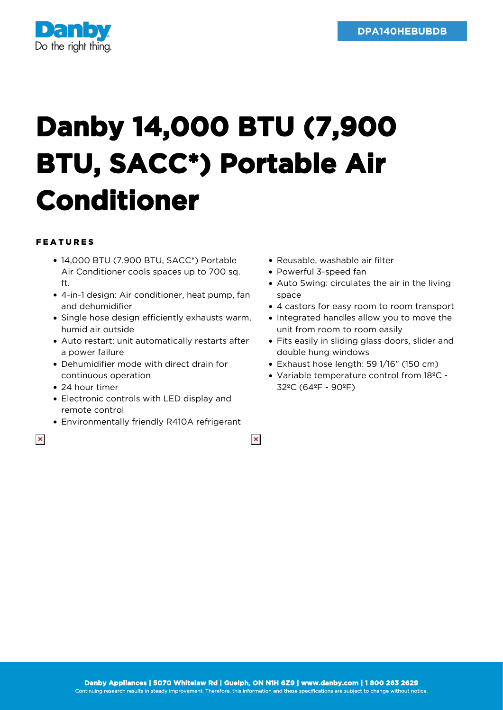

## **Danby 14,000 BTU (7,900 BTU, SACC\*) Portable Air Conditioner**

## FEATURES

- 14,000 BTU (7,900 BTU, SACC\*) Portable Air Conditioner cools spaces up to 700 sq. ft.
- 4-in-1 design: Air conditioner, heat pump, fan and dehumidifier
- Single hose design efficiently exhausts warm, humid air outside
- Auto restart: unit automatically restarts after a power failure
- Dehumidifier mode with direct drain for continuous operation
- 24 hour timer
- Electronic controls with LED display and remote control
- Environmentally friendly R410A refrigerant
- 

 $\pmb{\times}$ 

- Reusable, washable air filter Powerful 3-speed fan
- Auto Swing: circulates the air in the living space
- 4 castors for easy room to room transport
- Integrated handles allow you to move the unit from room to room easily
- Fits easily in sliding glass doors, slider and double hung windows
- Exhaust hose length: 59 1/16" (150 cm)
- Variable temperature control from 18ºC 32ºC (64ºF - 90ºF)

 $\pmb{\times}$